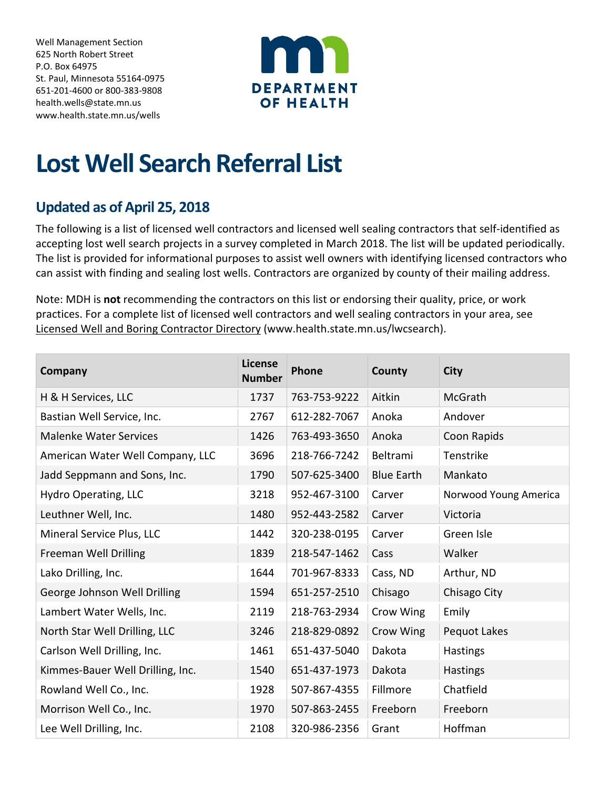Well Management Section 625 North Robert Street P.O. Box 64975 St. Paul, Minnesota 55164-0975 651-201-4600 or 800-383-9808 [health.wells@state.mn.us](mailto:health.wells@state.mn.us) [www.health.state.mn.us/wells](http://www.health.state.mn.us/wells)



## **Lost Well Search Referral List**

## **Updated as of April 25, 2018**

The following is a list of licensed well contractors and licensed well sealing contractors that self-identified as accepting lost well search projects in a survey completed in March 2018. The list will be updated periodically. The list is provided for informational purposes to assist well owners with identifying licensed contractors who can assist with finding and sealing lost wells. Contractors are organized by county of their mailing address.

Note: MDH is **not** recommending the contractors on this list or endorsing their quality, price, or work practices. For a complete list of licensed well contractors and well sealing contractors in your area, see Licensed Well and Boring Contractor Directory (www.health.state.mn.us/lwcsearch).

| Company                          | <b>License</b><br><b>Number</b> | <b>Phone</b> | County            | <b>City</b>           |
|----------------------------------|---------------------------------|--------------|-------------------|-----------------------|
| H & H Services, LLC              | 1737                            | 763-753-9222 | Aitkin            | <b>McGrath</b>        |
| Bastian Well Service, Inc.       | 2767                            | 612-282-7067 | Anoka             | Andover               |
| <b>Malenke Water Services</b>    | 1426                            | 763-493-3650 | Anoka             | Coon Rapids           |
| American Water Well Company, LLC | 3696                            | 218-766-7242 | Beltrami          | Tenstrike             |
| Jadd Seppmann and Sons, Inc.     | 1790                            | 507-625-3400 | <b>Blue Earth</b> | Mankato               |
| Hydro Operating, LLC             | 3218                            | 952-467-3100 | Carver            | Norwood Young America |
| Leuthner Well, Inc.              | 1480                            | 952-443-2582 | Carver            | Victoria              |
| Mineral Service Plus, LLC        | 1442                            | 320-238-0195 | Carver            | Green Isle            |
| Freeman Well Drilling            | 1839                            | 218-547-1462 | Cass              | Walker                |
| Lako Drilling, Inc.              | 1644                            | 701-967-8333 | Cass, ND          | Arthur, ND            |
| George Johnson Well Drilling     | 1594                            | 651-257-2510 | Chisago           | Chisago City          |
| Lambert Water Wells, Inc.        | 2119                            | 218-763-2934 | Crow Wing         | Emily                 |
| North Star Well Drilling, LLC    | 3246                            | 218-829-0892 | Crow Wing         | Pequot Lakes          |
| Carlson Well Drilling, Inc.      | 1461                            | 651-437-5040 | Dakota            | Hastings              |
| Kimmes-Bauer Well Drilling, Inc. | 1540                            | 651-437-1973 | Dakota            | Hastings              |
| Rowland Well Co., Inc.           | 1928                            | 507-867-4355 | Fillmore          | Chatfield             |
| Morrison Well Co., Inc.          | 1970                            | 507-863-2455 | Freeborn          | Freeborn              |
| Lee Well Drilling, Inc.          | 2108                            | 320-986-2356 | Grant             | Hoffman               |